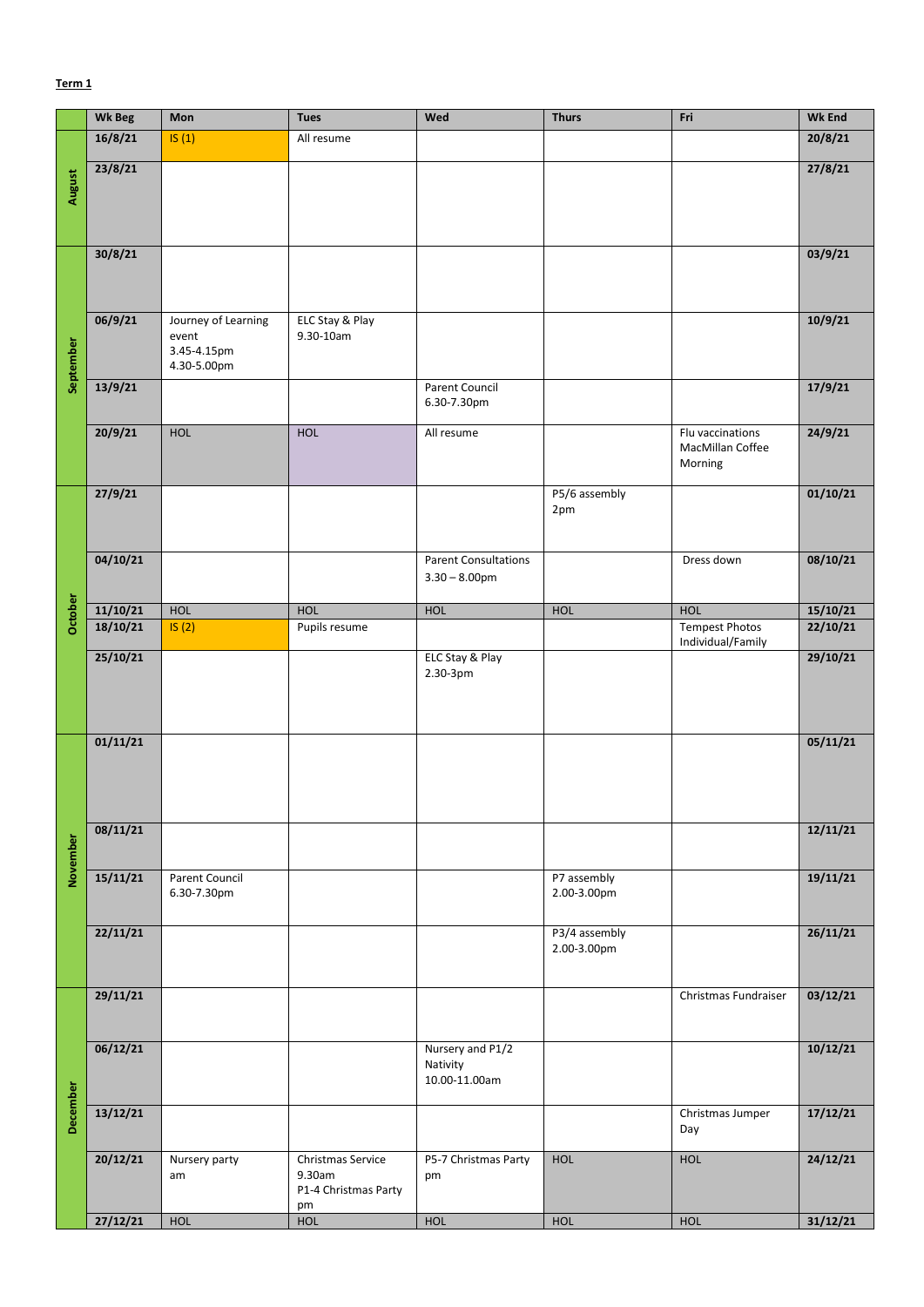## **Term 1**

|           | <b>Wk Beg</b> | Mon                                                        | <b>Tues</b>                                               | Wed                                             | <b>Thurs</b>                 | Fri                                             | <b>Wk End</b> |
|-----------|---------------|------------------------------------------------------------|-----------------------------------------------------------|-------------------------------------------------|------------------------------|-------------------------------------------------|---------------|
|           | 16/8/21       | IS(1)                                                      | All resume                                                |                                                 |                              |                                                 | 20/8/21       |
| August    | 23/8/21       |                                                            |                                                           |                                                 |                              |                                                 | 27/8/21       |
| September | 30/8/21       |                                                            |                                                           |                                                 |                              |                                                 | 03/9/21       |
|           | 06/9/21       | Journey of Learning<br>event<br>3.45-4.15pm<br>4.30-5.00pm | ELC Stay & Play<br>9.30-10am                              |                                                 |                              |                                                 | 10/9/21       |
|           | 13/9/21       |                                                            |                                                           | Parent Council<br>6.30-7.30pm                   |                              |                                                 | 17/9/21       |
|           | 20/9/21       | HOL                                                        | HOL                                                       | All resume                                      |                              | Flu vaccinations<br>MacMillan Coffee<br>Morning | 24/9/21       |
|           | 27/9/21       |                                                            |                                                           |                                                 | P5/6 assembly<br>2pm         |                                                 | 01/10/21      |
|           | 04/10/21      |                                                            |                                                           | <b>Parent Consultations</b><br>$3.30 - 8.00$ pm |                              | Dress down                                      | 08/10/21      |
| October   | 11/10/21      | HOL                                                        | HOL                                                       | HOL                                             | HOL                          | HOL                                             | 15/10/21      |
|           | 18/10/21      | IS(2)                                                      | Pupils resume                                             |                                                 |                              | <b>Tempest Photos</b><br>Individual/Family      | 22/10/21      |
|           | 25/10/21      |                                                            |                                                           | ELC Stay & Play<br>2.30-3pm                     |                              |                                                 | 29/10/21      |
| November  | 01/11/21      |                                                            |                                                           |                                                 |                              |                                                 | 05/11/21      |
|           | 08/11/21      |                                                            |                                                           |                                                 |                              |                                                 | 12/11/21      |
|           | 15/11/21      | Parent Council<br>6.30-7.30pm                              |                                                           |                                                 | P7 assembly<br>2.00-3.00pm   |                                                 | 19/11/21      |
|           | 22/11/21      |                                                            |                                                           |                                                 | P3/4 assembly<br>2.00-3.00pm |                                                 | 26/11/21      |
| December  | 29/11/21      |                                                            |                                                           |                                                 |                              | Christmas Fundraiser                            | 03/12/21      |
|           | 06/12/21      |                                                            |                                                           | Nursery and P1/2<br>Nativity<br>10.00-11.00am   |                              |                                                 | 10/12/21      |
|           | 13/12/21      |                                                            |                                                           |                                                 |                              | Christmas Jumper<br>Day                         | 17/12/21      |
|           | 20/12/21      | Nursery party<br>am                                        | Christmas Service<br>9.30am<br>P1-4 Christmas Party<br>pm | P5-7 Christmas Party<br>pm                      | HOL                          | <b>HOL</b>                                      | 24/12/21      |
|           | 27/12/21      | <b>HOL</b>                                                 | HOL                                                       | HOL                                             | HOL                          | HOL                                             | 31/12/21      |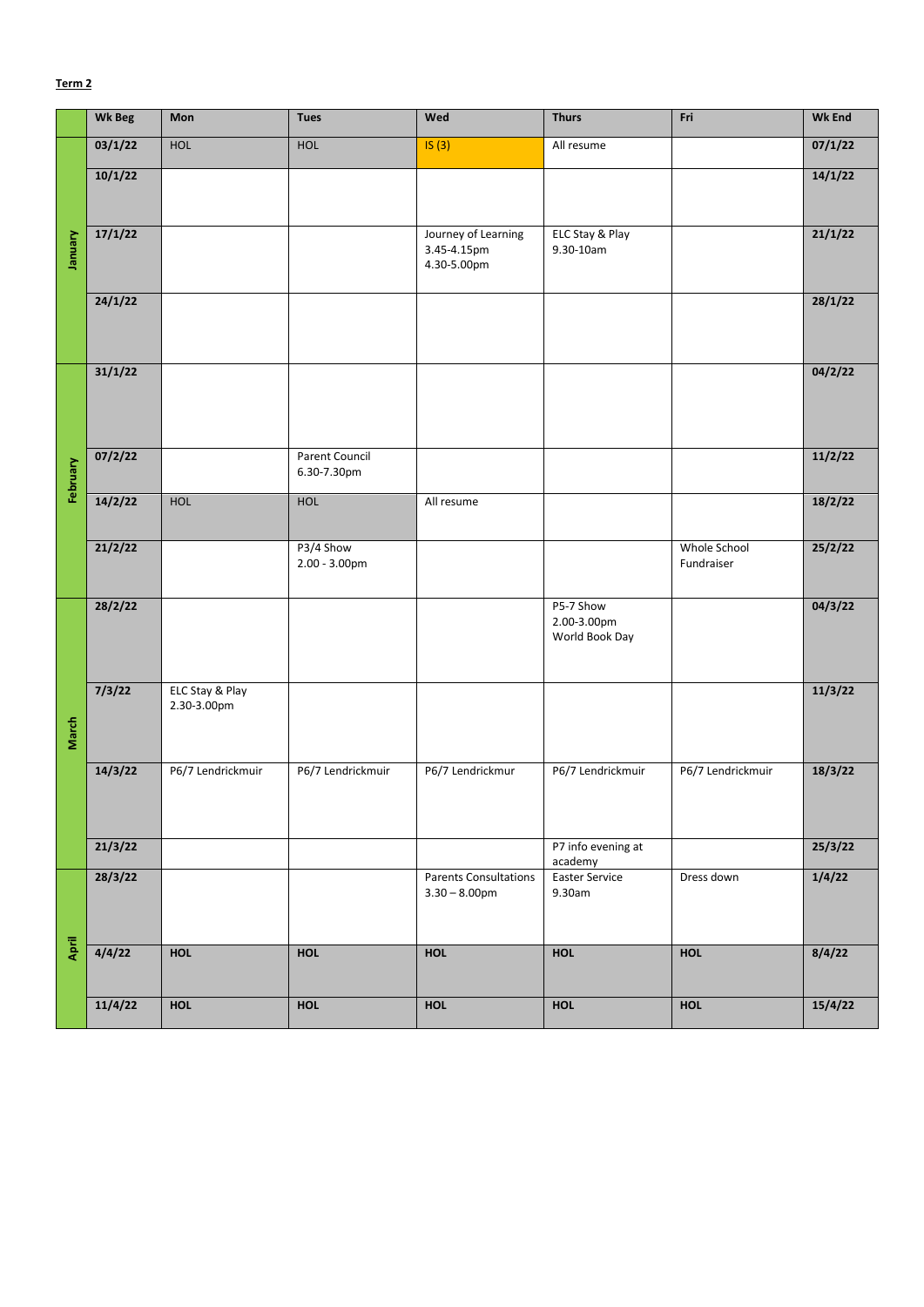## **Term 2**

|          | <b>Wk Beg</b> | Mon                            | <b>Tues</b>                   | Wed                                               | <b>Thurs</b>                               | Fri                        | <b>Wk End</b> |
|----------|---------------|--------------------------------|-------------------------------|---------------------------------------------------|--------------------------------------------|----------------------------|---------------|
| January  | 03/1/22       | HOL                            | HOL                           | IS(3)                                             | All resume                                 |                            | 07/1/22       |
|          | 10/1/22       |                                |                               |                                                   |                                            |                            | 14/1/22       |
|          | 17/1/22       |                                |                               | Journey of Learning<br>3.45-4.15pm<br>4.30-5.00pm | ELC Stay & Play<br>9.30-10am               |                            | 21/1/22       |
|          | 24/1/22       |                                |                               |                                                   |                                            |                            | 28/1/22       |
|          | 31/1/22       |                                |                               |                                                   |                                            |                            | 04/2/22       |
| February | 07/2/22       |                                | Parent Council<br>6.30-7.30pm |                                                   |                                            |                            | 11/2/22       |
|          | 14/2/22       | <b>HOL</b>                     | <b>HOL</b>                    | All resume                                        |                                            |                            | 18/2/22       |
|          | 21/2/22       |                                | P3/4 Show<br>2.00 - 3.00pm    |                                                   |                                            | Whole School<br>Fundraiser | 25/2/22       |
| March    | 28/2/22       |                                |                               |                                                   | P5-7 Show<br>2.00-3.00pm<br>World Book Day |                            | 04/3/22       |
|          | 7/3/22        | ELC Stay & Play<br>2.30-3.00pm |                               |                                                   |                                            |                            | 11/3/22       |
|          | 14/3/22       | P6/7 Lendrickmuir              | P6/7 Lendrickmuir             | P6/7 Lendrickmur                                  | P6/7 Lendrickmuir                          | P6/7 Lendrickmuir          | 18/3/22       |
|          | 21/3/22       |                                |                               |                                                   | P7 info evening at<br>academy              |                            | 25/3/22       |
| April    | 28/3/22       |                                |                               | <b>Parents Consultations</b><br>$3.30 - 8.00$ pm  | <b>Easter Service</b><br>9.30am            | Dress down                 | 1/4/22        |
|          | 4/4/22        | <b>HOL</b>                     | <b>HOL</b>                    | <b>HOL</b>                                        | <b>HOL</b>                                 | <b>HOL</b>                 | 8/4/22        |
|          | 11/4/22       | <b>HOL</b>                     | HOL                           | HOL                                               | HOL                                        | <b>HOL</b>                 | 15/4/22       |